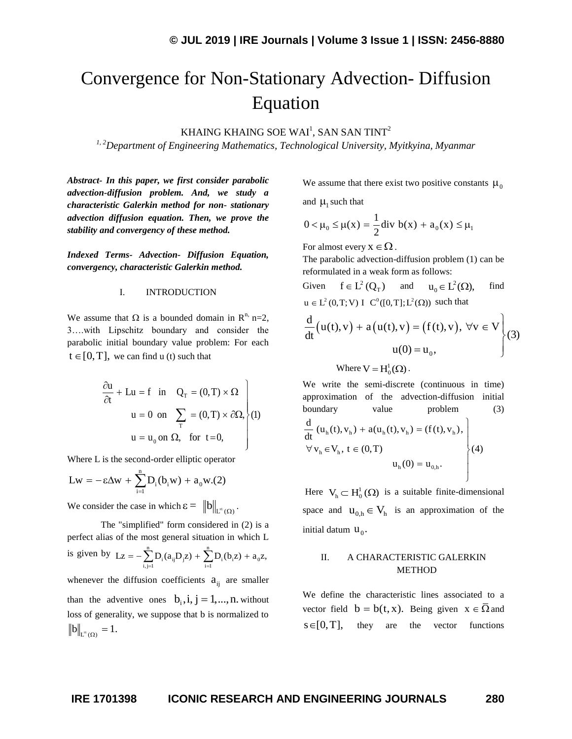# Convergence for Non-Stationary Advection- Diffusion Equation

KHAING KHAING SOE WAI $^{\rm l}$ , SAN SAN TINT $^{\rm 2}$ 

*1, 2Department of Engineering Mathematics, Technological University, Myitkyina, Myanmar*

*Abstract- In this paper, we first consider parabolic advection-diffusion problem. And, we study a characteristic Galerkin method for non- stationary advection diffusion equation. Then, we prove the stability and convergency of these method.*

*Indexed Terms- Advection- Diffusion Equation, convergency, characteristic Galerkin method.*

## I. INTRODUCTION

We assume that  $\Omega$  is a bounded domain in  $\mathbb{R}^n$ , n=2, 3….with Lipschitz boundary and consider the parabolic initial boundary value problem: For each  $t \in [0, T]$ , we can find u (t) such that

$$
\frac{\partial u}{\partial t} + Lu = f \text{ in } Q_T = (0, T) \times \Omega
$$
  
 
$$
u = 0 \text{ on } \sum_T = (0, T) \times \partial\Omega,
$$
  
 
$$
u = u_0 \text{ on } \Omega, \text{ for } t = 0,
$$

Where L is the second-order elliptic operator  
\n
$$
Lw = -\varepsilon \Delta w + \sum_{i=1}^{n} D_i(b_i w) + a_0 w.(2)
$$

We consider the case in which  $\varepsilon = \|b\|_{L^{\infty}(\Omega)}$ .

The "simplified" form considered in (2) is a perfect alias of the most general situation in which L perfect and so the most general situation<br>is given by  $I_z = -\sum_{n=0}^{n} D_r(a_nD_z) + \sum_{n=0}^{n} D_r(a_nD_z)$ of the most general situation in which L<br>  $Lz = -\sum_{i,j=1}^{n} D_i(a_{ij}D_jz) + \sum_{i=1}^{n} D_i(b_iz) + a_0z,$ whenever the diffusion coefficients  $a_{ij}$  are smaller than the adventive ones  $b_i$ ,  $i, j = 1, ..., n$ . without loss of generality, we suppose that b is normalized to  $b\|_{L^{\infty}(\Omega)} = 1.$ 

We assume that there exist two positive constants  $\mu_0$ 

and  $\mu_1$  such that

$$
0 < \mu_0 \le \mu(x) = \frac{1}{2} \text{div } b(x) + a_0(x) \le \mu_1
$$

For almost every  $x \in \Omega$ .

The parabolic advection-diffusion problem (1) can be reformulated in a weak form as follows:

Given 
$$
f \in L^2(Q_T)
$$
 and  $u_0 \in L^2(\Omega)$ , find  
\n $u \in L^2(0, T; V) I C^0([0, T]; L^2(\Omega))$  such that  
\n
$$
\frac{d}{dt}(u(t), v) + a(u(t), v) = (f(t), v), \forall v \in V
$$
\n
$$
u(0) = u_0,
$$
\n(3)

Where  $V = H_0^1(\Omega)$ . The contract of the contract of the contract of the contract of the contract of the contract of the contract of the contract of the contract of the contract of the contract of the contract of the contract of the contrac

We write the semi-discrete (continuous in time) approximation of the advection-diffusion initial boundary value problem (3)  $h_ h(t), v_h) + a(u_h(t), v_h) = (f(t), v_h)$  $h \in V_h$  $_{h}(0) = u_{0,h}$ d boundary value problem<br>  $\frac{d}{dt}$  (u<sub>h</sub>(t), v<sub>h</sub>) + a(u<sub>h</sub>(t), v<sub>h</sub>) = (f(t), v<sub>h</sub>),<br>  $\forall$  v<sub>h</sub>  $\in$  V<sub>h</sub>, t  $\in$  (0, T) (4)  $u_h(0) = u_{0,h}.$  $\mathbf{I}$ value problem<br>+  $a(u_h(t), v_h) = (f(t), v_h),$  $\mathbf{I}$  $\overline{dt}$  (u<sub>h</sub>(t), v<sub>h</sub>) + a(u<sub>h</sub>(t), v<sub>h</sub>) = (f(t), v<sub>h</sub>),<br>
∀ v<sub>h</sub> ∈ V<sub>h</sub>, t ∈ (0, T)  $=$   $\mathbf{u}_{0,\mathrm{h}}$ . J

Here  $V_h \subset H_0^1(\Omega)$  is a suitable finite-dimensional space and  $u_{0,h} \in V_h$  is an approximation of the initial datum  $\mathbf{u}_0$ .

# II. A CHARACTERISTIC GALERKIN METHOD

We define the characteristic lines associated to a vector field  $b = b(t, x)$ . Being given  $x \in \overline{\Omega}$  and  $s \in [0,T]$ , they are the vector functions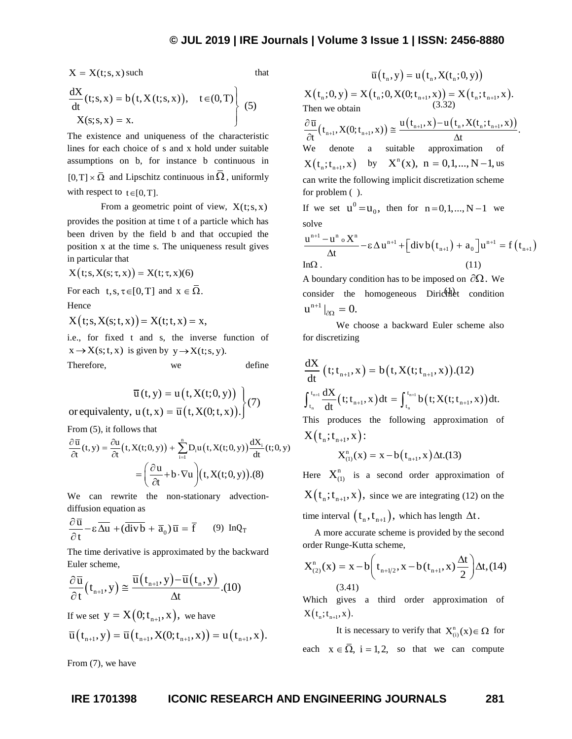$$
X = X(t; s, x) \text{ such that}
$$
  
\n
$$
\frac{dX}{dt}(t; s, x) = b(t, X(t; s, x)), \quad t \in (0, T)
$$
  
\n
$$
X(s; s, x) = x.
$$
\n(f) (5)

The existence and uniqueness of the characteristic lines for each choice of s and x hold under suitable assumptions on b, for instance b continuous in  $[0, T] \times \overline{\Omega}$  and Lipschitz continuous in  $\overline{\Omega}$ , uniformly with respect to  $t \in [0, T]$ .

From a geometric point of view,  $X(t; s, x)$ 

provides the position at time t of a particle which has been driven by the field b and that occupied the position x at the time s. The uniqueness result gives in particular that

in particular that  
\n
$$
X(t;s,X(s;\tau,x)) = X(t;\tau,x)(6)
$$

For each  $t, s, \tau \in [0, T]$  and  $x \in \overline{\Omega}$ .

Hence

 $X(t; s, X(s; t, x)) = X(t; t, x) = x,$ 

i.e., for fixed t and s, the inverse function of  $x \rightarrow X(s; t, x)$  is given by  $y \rightarrow X(t; s, y)$ .

Therefore, we define

$$
\overline{u}(t, y) = u(t, X(t; 0, y))
$$
  
or equivalently,  $u(t, x) = \overline{u}(t, X(0; t, x)).$  $\left\{ (7) \right\}$ 

From (5), it follows that

From (5), it follows that  
\n
$$
\frac{\partial \overline{u}}{\partial t}(t, y) = \frac{\partial u}{\partial t}(t, X(t; 0, y)) + \sum_{i=1}^{n} D_i u(t, X(t; 0, y)) \frac{dX_i}{dt}(t; 0, y)
$$
\n
$$
= \left(\frac{\partial u}{\partial t} + b \cdot \nabla u\right)(t, X(t; 0, y)).(8)
$$

We can rewrite the non-stationary advectiondiffusion equation as

$$
\frac{\partial \overline{u}}{\partial t} - \varepsilon \overline{\Delta u} + (\overline{divb} + \overline{a}_0) \overline{u} = \overline{f} \qquad (9) \text{ InQ}_T
$$

The time derivative is approximated by the backward Euler scheme,

Euler scheme,  
\n
$$
\frac{\partial \overline{u}}{\partial t}(t_{n+1}, y) \cong \frac{\overline{u}(t_{n+1}, y) - \overline{u}(t_n, y)}{\Delta t}.(10)
$$

If we set 
$$
y = X(0; t_{n+1}, x)
$$
, we have  
\n
$$
\overline{u}(t_{n+1}, y) = \overline{u}(t_{n+1}, X(0; t_{n+1}, x)) = u(t_{n+1}, x).
$$

From (7), we have

**ICONIC RESEARCH AND SET UNIT (ATTLE ATTLE ATTLE ATTLE ATTLE ATTLE ATTLE ATTLE ATTLE ATTLE ATTLE ATTLE ATTLE ATTLE ATTLE ATTLE ATTLE ATTLE ATTLE ATTLE ATTLE ATTLE ATTLE ATTLE ATTLE ATTLE ATTLE ATTLE ATTLE ATTLE ATTLE ATTL**  $\overline{u}(t_n, y) = u(t_n, X(t_n; 0, y))$ <br>  $X(t_n; 0, y) = X(t_n; 0, X(0; t_{n+1}, x)) = X(t_n; t_{n+1}, x)$ .<br>
Then we obtain  $\bar{u}(t_n, y) = u(t_n, X(t_n; 0, y))$ Then we obtain n n we obtain<br>  $\frac{\overline{u}}{t}$   $(t_{n+1}, X(0; t_{n+1}, x)) \approx \frac{u(t_{n+1}, x) - u(t_n, X(t_n; t_{n+1}, x))}{\Delta t}$ .  $\frac{\partial \overline{u}}{\partial t}(t_{n+1}, X(0; t_{n+1}, x)) \approx \frac{u(t_{n+1}, x) - u(t_n, X(t_n; t_{n+1}, x))}{\Delta t}$  $rac{\partial \overline{u}}{\partial t} (t_{n+1}, X(0; t_{n+1}, x)) \approx \frac{u(t_{n+1}, x) - u(t_n, X(t_n; t))}{\Delta t}$ We denote a suitable approximation of  $X(t_n; t_{n+1}, x)$  by  $X^n(x)$ ,  $n = 0, 1, ..., N-1$ , us can write the following implicit discretization scheme for problem  $( )$ . If we set  $u^0 = u_0$ , then for  $n = 0, 1, ..., N - 1$  we solve

solve  
\n
$$
\frac{u^{n+1} - u^n \circ X^n}{\Delta t} - \epsilon \Delta u^{n+1} + \left[ \text{div} b(t_{n+1}) + a_0 \right] u^{n+1} = f(t_{n+1})
$$
\nIn $\Omega$ . (11)

consider the homogeneous Dirichlet condition A boundary condition has to be imposed on  $\partial\Omega$ . We  $\mathbf{u}^{\mathrm{n+1}}\big|_{\partial\Omega} = 0.$ 

We choose a backward Euler scheme also for discretizing

$$
\frac{dX}{dt} (t; t_{n+1}, x) = b(t, X(t; t_{n+1}, x)).(12)
$$
\n
$$
\int_{t_n}^{t_{n+1}} \frac{dX}{dt} (t; t_{n+1}, x) dt = \int_{t_n}^{t_{n+1}} b(t; X(t; t_{n+1}, x)) dt.
$$
\nThis produces the following approximation of\n
$$
X(t_n; t_{n+1}, x) :
$$
\n
$$
X_{(1)}^n(x) = x - b(t_{n+1}, x) \Delta t.(13)
$$

Here  $X_{(1)}^n$  is a second order approximation of  $X(t_n; t_{n+1}, x)$ , since we are integrating (12) on the time interval  $\left(t_{n}, t_{n+1}\right)$ , which has length  $\Delta t$ .

A more accurate scheme is provided by the second

order Runge-Kutta scheme,  
\n
$$
X_{(2)}^n(x) = x - b \left( t_{n+1/2}, x - b(t_{n+1}, x) \frac{\Delta t}{2} \right) \Delta t, (14)
$$
\n(3.41)

Which gives a third order approximation of  $X(t_n; t_{n+1}, x)$ .

It is necessary to verify that  $X_{(i)}^n(x) \in \Omega$  for each  $x \in \overline{\Omega}$ , i = 1,2, so that we can compute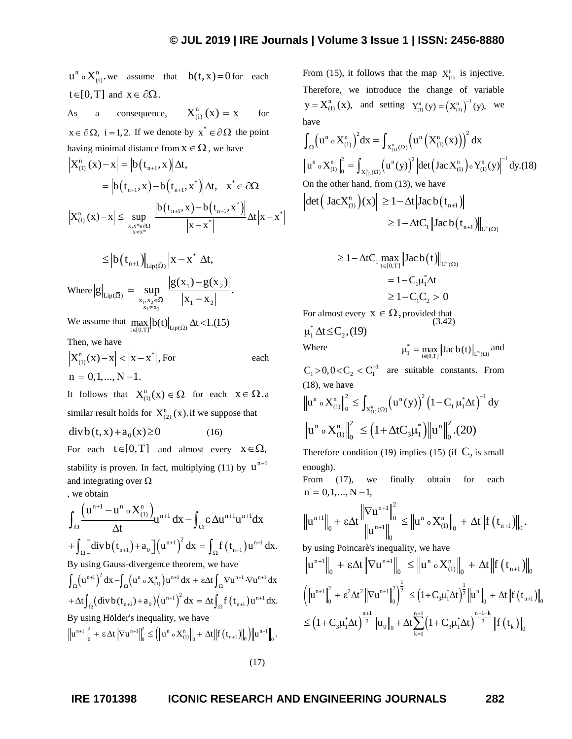we assume that  $b(t, x) = 0$  for each  $t \in [0, T]$  and  $x \in \partial \Omega$ . As a consequence,  $X_{(i)}^n(x) = x$ for  $x \in \partial \Omega$ ,  $i = 1, 2$ . If we denote by  $x^* \in \partial \Omega$  the point having minimal distance from  $x \in \Omega$ , we have  $X_{(1)}^n(x) - x = |b(t_{n+1}, x)| \Delta t,$  $\mathbf{A} = \left| b(t_{n+1}, x) - b(t_{n+1}, x^*) \right| \Delta t, \quad x^* \in \partial \Omega$ 

$$
= |b(t_{n+1}, x) - b(t_{n+1}, x^*)| \Delta t, \quad x^* \in \partial \Omega
$$
  

$$
|X_{(1)}^n(x) - x| \le \sup_{\substack{x, x^* \in \partial \Omega \\ x \neq x^*}} \frac{|b(t_{n+1}, x) - b(t_{n+1}, x^*)|}{|x - x^*|} \Delta t |x - x^*|
$$

$$
\leq |b(t_{n+1})|_{\mathrm{Lip}(\bar{\Omega})} |x - x^*| \Delta t,
$$
  
where  $|g|_{\mathrm{Lip}(\bar{\Omega})} = \sup_{\substack{x_1, x_2 \in \bar{\Omega} \\ x_1 \neq x_2}} \frac{|g(x_1) - g(x_2)|}{|x_1 - x_2|}.$ 

We assume that  $\max_{t \in [0,T]} |b(t)|_{\text{Lip}(\bar{\Omega})} \Delta t$  < 1.(15)

Then, we have

$$
\left| X_{(1)}^n(x) - x \right| < \left| x - x^* \right|, \text{For} \qquad \qquad \text{each} \\ n = 0, 1, \dots, N - 1.
$$

It follows that  $X_{(1)}^n(x) \in \Omega$  for each  $x \in \Omega.a$ similar result holds for  $X_{(2)}^n(x)$ . if we suppose that

 $div b(t, x) + a_0(x) \ge 0$ (16)

For each  $t \in [0, T]$  and almost every  $x \in \Omega$ , stability is proven. In fact, multiplying (11) by  $u^{n+1}$ and integrating over  $\Omega$ 

$$
u^a ∘ X^a_{(i)}, we
$$
 assume that  $b(t, x) = 0$  for each  
\n $t \in [0, T]$  and  $x \in \delta\Omega$ .  
\nAs a consequence,  $X^a_{(i)}(x) = x$  for  $x = \delta\Omega$ , in  $[\text{arcsor}_0, \text{vec}(x)]^2$  (by  $x^a$ ), we introduce the change of variable  
\nhawian  
\nharmonic minimal distance from  $x \in \Omega$ , we have  
\n
$$
|X^a_{(i)}(x) - x| \leq \sup_{x \to \infty} \frac{\log(x_1, x_1)}{|x_1, x_1, x_1|} \text{At } x^a \in \delta\Omega
$$
\n
$$
|X^a_{(i)}(x) - x| \leq \sup_{x \to \infty} \frac{\log(x_1, x_1)}{|x_1, x_1, x_1|} \text{At } x^a = \delta\Omega
$$
\n
$$
|X^a_{(i)}(x) - x| \leq \sup_{x \to \infty} \frac{\log(x_1, x_1)}{|x_1, x_1, x_1|} \text{At } x^a = \delta\Omega
$$
\n
$$
= |b(t_{n+1}, x) - b(t_{n+1}, x^a)| \text{At } x^a = \delta\Omega
$$
\n
$$
|b(t_{n+1}, x) - b(t_{n+1}, x^a)| \text{At } x^a = \delta\Omega
$$
\n
$$
|b(t_{n+1}, x) - b(t_{n+1}, x^a)| \text{At } x^a = \delta\Omega
$$
\n
$$
|b(t_{n+1}, x) - b(t_{n+1}, x^a)| \text{At } x^a = \delta\Omega
$$
\n
$$
|b(t_{n+1}, x) - b(t_{n+1}, x^a)| \text{At } x^a = \delta\Omega
$$
\n
$$
|b(t_{n+1}, x) - b(t_{n+1}, x^a)| \text{At } x^a = \delta\Omega
$$
\n
$$
|b(t_{n+1}, x) - b(t_{n+1}, x^a)| \text{At } x^a = \delta\Omega
$$
\n
$$
|b(t_{n+1}, x) - b(t_{n+1}, x^a)| \text{At } x^a = \delta\Omega
$$

By using Hölder's inequality, we have  
\n
$$
\|u^{n+1}\|_{0}^{2} + \epsilon \Delta t \|\nabla u^{n+1}\|_{0}^{2} \leq (\|u^{n} \circ X_{(1)}^{n}\|_{0} + \Delta t \|f(t_{n+1})\|_{0}) \|u^{n+1}\|_{0}.
$$

(17)

From (15), it follows that the map  $X_{(1)}^n$  is injective. Therefore, we introduce the change of variable  $y = X_{(1)}^n(x)$ , and setting  $Y_{(1)}^n(y) = (X_{(1)}^n)^{-1}(y)$ , we have

have  
\n
$$
\int_{\Omega} (u^n \circ X_{(1)}^n)^2 dx = \int_{X_{(1)}^n(\Omega)} (u^n (X_{(1)}^n(x)))^2 dx
$$
\n
$$
||u^n \circ X_{(1)}^n||_0^2 = \int_{X_{(1)}^n(\Omega)} (u^n (y))^2 |det (Jac X_{(1)}^n) \circ Y_{(1)}^n(y)|^{-1} dy.(18)
$$
\nOn the other hand, from (13), we have  
\n
$$
|det (Jac X_{(1)}^n)(x)| \ge 1 - \Delta t |Jac b(t_{n+1})|
$$
\n
$$
\ge 1 - \Delta t C_1 ||Jac b(t_{n+1})||_{L^{\infty}(\Omega)}
$$

$$
\geq 1 - \Delta t C_1 \max_{t \in [0, T]} \| \text{Jac}\, b(t) \|_{L^{\infty}(\Omega)}
$$
  
=  $1 - C_1 \mu_1^* \Delta t$   

$$
\geq 1 - C_1 C_2 > 0
$$

(3.42) For almost every  $X \in \Omega$ , provided that

 $\mu_1^* \Delta t \leq C_2$ , (19)

Where

$$
\mu_l^* = \max_{t \in [0,T]} \bigl\| Jac\,b(t) \bigr\|_{L^\infty(\Omega)} \, and
$$

 $C_1 > 0, 0 < C_2 < C_1^{-1}$  are suitable constants. From (18), we have

(18), we have  
\n
$$
\|u^n \circ X_{(1)}^n\|_0^2 \le \int_{X_{(1)}^n(\Omega)} (u^n(y))^2 (1 - C_1 \mu_1^* \Delta t)^{-1} dy
$$
\n
$$
\|u^n \circ X_{(1)}^n\|_0^2 \le (1 + \Delta t C_3 \mu_1^*) \|u^n\|_0^2 . (20)
$$

Therefore condition (19) implies (15) (if  $C_2$  is small enough).

From (17), we finally obtain for each  $n = 0, 1, ..., N - 1,$ 

$$
\|u^{n+1}\|_{0} + \varepsilon \Delta t \frac{\|\nabla u^{n+1}\|_{0}^{2}}{\|u^{n+1}\|_{0}^{2}} \leq \|u^{n} \circ X_{(1)}^{n}\|_{0} + \Delta t \|f(t_{n+1})\|_{0}.
$$

by using Poincarè's inequality, we have  
\n
$$
\|u^{n+1}\|_{0} + \epsilon \Delta t \|\nabla u^{n+1}\|_{0} \le \|u^{n} \circ X_{(1)}^{n}\|_{0} + \Delta t \|f(t_{n+1})\|_{0}
$$
\n
$$
\left(\|u^{n+1}\|_{0}^{2} + \epsilon^{2} \Delta t^{2} \|\nabla u^{n+1}\|_{0}^{2}\right)^{\frac{1}{2}} \le (1 + C_{3}\mu_{1}^{*} \Delta t)^{\frac{1}{2}} \|u^{n}\|_{0} + \Delta t \|f(t_{n+1})\|_{0}
$$
\n
$$
\le (1 + C_{3}\mu_{1}^{*} \Delta t)^{\frac{n+1}{2}} \|u_{0}\|_{0} + \Delta t \sum_{k=1}^{n+1} (1 + C_{3}\mu_{1}^{*} \Delta t)^{\frac{n+1-k}{2}} \|f(t_{k})\|_{0}
$$